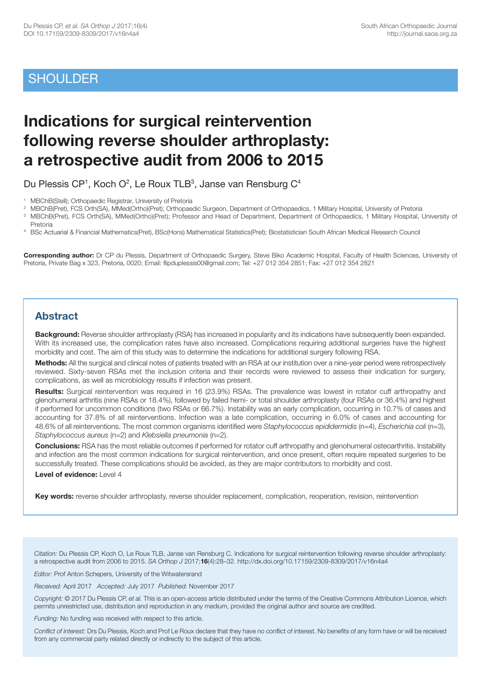# **SHOULDER**

# **Indications for surgical reintervention following reverse shoulder arthroplasty: a retrospective audit from 2006 to 2015**

Du Plessis CP<sup>1</sup>, Koch O<sup>2</sup>, Le Roux TLB<sup>3</sup>, Janse van Rensburg C<sup>4</sup>

<sup>2</sup> MBChB(Pret), FCS Orth(SA), MMed(Ortho)(Pret); Orthopaedic Surgeon, Department of Orthopaedics, 1 Military Hospital, University of Pretoria<br><sup>3</sup> MBChB(Pret), FCS Orth(SA), MMed(Ortho)(Pret); Professor and Head of Departm

3 MBChB(Pret), FCS Orth(SA), MMed(Ortho)(Pret); Professor and Head of Department, Department of Orthopaedics, 1 Military Hospital, University of Pretoria

4 BSc Actuarial & Financial Mathematics(Pret), BSc(Hons) Mathematical Statistics(Pret); Biostatistician South African Medical Research Council

**Corresponding author:** Dr CP du Plessis, Department of Orthopaedic Surgery, Steve Biko Academic Hospital, Faculty of Health Sciences, University of Pretoria, Private Bag x 323, Pretoria, 0020; Email: flipduplessis00@gmail.com; Tel: +27 012 354 2851; Fax: +27 012 354 2821

# **Abstract**

**Background:** Reverse shoulder arthroplasty (RSA) has increased in popularity and its indications have subsequently been expanded. With its increased use, the complication rates have also increased. Complications requiring additional surgeries have the highest morbidity and cost. The aim of this study was to determine the indications for additional surgery following RSA.

**Methods:** All the surgical and clinical notes of patients treated with an RSA at our institution over a nine-year period were retrospectively reviewed. Sixty-seven RSAs met the inclusion criteria and their records were reviewed to assess their indication for surgery, complications, as well as microbiology results if infection was present.

**Results:** Surgical reintervention was required in 16 (23.9%) RSAs. The prevalence was lowest in rotator cuff arthropathy and glenohumeral arthritis (nine RSAs or 18.4%), followed by failed hemi- or total shoulder arthroplasty (four RSAs or 36.4%) and highest if performed for uncommon conditions (two RSAs or 66.7%). Instability was an early complication, occurring in 10.7% of cases and accounting for 37.8% of all reinterventions. Infection was a late complication, occurring in 6.0% of cases and accounting for 48.6% of all reinterventions. The most common organisms identified were *Staphylococcus epididermidis* (n=4), *Escherichia coli* (n=3), *Staphylococcus aureus* (n=2) and *Klebsiella pneumonia* (n=2).

**Conclusions:** RSA has the most reliable outcomes if performed for rotator cuff arthropathy and glenohumeral osteoarthritis. Instability and infection are the most common indications for surgical reintervention, and once present, often require repeated surgeries to be successfully treated. These complications should be avoided, as they are major contributors to morbidity and cost.

#### **Level of evidence:** Level 4

**Key words:** reverse shoulder arthroplasty, reverse shoulder replacement, complication, reoperation, revision, reintervention

*Citation:* Du Plessis CP, Koch O, Le Roux TLB, Janse van Rensburg C. Indications for surgical reintervention following reverse shoulder arthroplasty: a retrospective audit from 2006 to 2015. *SA Orthop J* 2017;**16**(4):28–32. http://dx.doi.org/10.17159/2309-8309/2017/v16n4a4

*Editor:* Prof Anton Schepers, University of the Witwatersrand

*Received:* April 2017 *Accepted:* July 2017 *Published:* November 2017

*Copyright:* © 2017 Du Plessis CP, *et al.* This is an open-access article distributed under the terms of the Creative Commons Attribution Licence, which permits unrestricted use, distribution and reproduction in any medium, provided the original author and source are credited.

*Funding:* No funding was received with respect to this article.

*Conflict of interest:* Drs Du Plessis, Koch and Prof Le Roux declare that they have no conflict of interest. No benefits of any form have or will be received from any commercial party related directly or indirectly to the subject of this article.

<sup>&</sup>lt;sup>1</sup> MBChB(Stell); Orthopaedic Registrar, University of Pretoria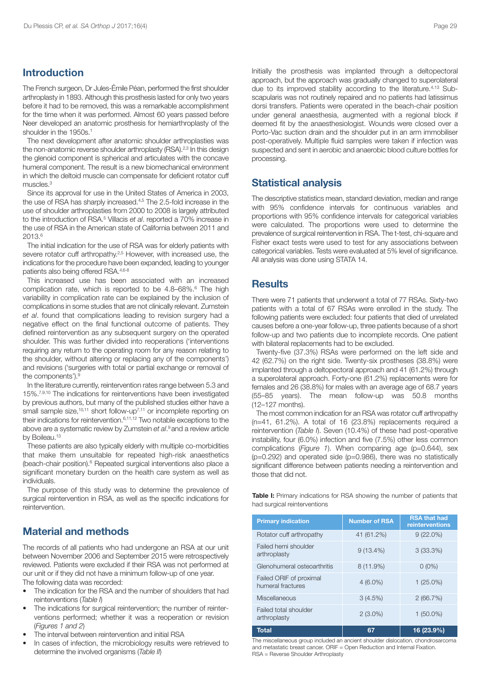### **Introduction**

The French surgeon, Dr Jules-Émile Péan, performed the first shoulder arthroplasty in 1893. Although this prosthesis lasted for only two years before it had to be removed, this was a remarkable accomplishment for the time when it was performed. Almost 60 years passed before Neer developed an anatomic prosthesis for hemiarthroplasty of the shoulder in the 1950s. 1

The next development after anatomic shoulder arthroplasties was the non-anatomic reverse shoulder arthroplasty (RSA).<sup>2,3</sup> In this design the glenoid component is spherical and articulates with the concave humeral component. The result is a new biomechanical environment in which the deltoid muscle can compensate for deficient rotator cuff muscles. 3

Since its approval for use in the United States of America in 2003, the use of RSA has sharply increased.<sup>4,5</sup> The 2.5-fold increase in the use of shoulder arthroplasties from 2000 to 2008 is largely attributed to the introduction of RSA. <sup>5</sup> Villacis *et al*. reported a 70% increase in the use of RSA in the American state of California between 2011 and 2013. 6

The initial indication for the use of RSA was for elderly patients with severe rotator cuff arthropathy.<sup>2,5</sup> However, with increased use, the indications for the procedure have been expanded, leading to younger patients also being offered RSA.<sup>4,6-8</sup>

This increased use has been associated with an increased complication rate, which is reported to be 4.8–68%. <sup>6</sup> The high variability in complication rate can be explained by the inclusion of complications in some studies that are not clinically relevant. Zumstein *et al*. found that complications leading to revision surgery had a negative effect on the final functional outcome of patients. They defined reintervention as any subsequent surgery on the operated shoulder. This was further divided into reoperations ('interventions requiring any return to the operating room for any reason relating to the shoulder, without altering or replacing any of the components') and revisions ('surgeries with total or partial exchange or removal of the components'). 9

In the literature currently, reintervention rates range between 5.3 and 15%. 7,9,10 The indications for reinterventions have been investigated by previous authors, but many of the published studies either have a small sample size,<sup>10,11</sup> short follow-up<sup>7,11</sup> or incomplete reporting on their indications for reintervention. 6,11,12 Two notable exceptions to the above are a systematic review by Zumstein *et al*. <sup>9</sup> and a review article by Boileau. 13

These patients are also typically elderly with multiple co-morbidities that make them unsuitable for repeated high-risk anaesthetics (beach-chair position). <sup>6</sup> Repeated surgical interventions also place a significant monetary burden on the health care system as well as individuals.

The purpose of this study was to determine the prevalence of surgical reintervention in RSA, as well as the specific indications for reintervention.

## **Material and methods**

The records of all patients who had undergone an RSA at our unit between November 2006 and September 2015 were retrospectively reviewed. Patients were excluded if their RSA was not performed at our unit or if they did not have a minimum follow-up of one year. The following data was recorded:

- The indication for the RSA and the number of shoulders that had reinterventions (*Table I*)
- The indications for surgical reintervention; the number of reinterventions performed; whether it was a reoperation or revision (*Figures 1 and 2*)
- The interval between reintervention and initial RSA
- In cases of infection, the microbiology results were retrieved to determine the involved organisms (*Table II*)

Initially the prosthesis was implanted through a deltopectoral approach, but the approach was gradually changed to superolateral due to its improved stability according to the literature.<sup>4,13</sup> Subscapularis was not routinely repaired and no patients had latissimus dorsi transfers. Patients were operated in the beach-chair position under general anaesthesia, augmented with a regional block if deemed fit by the anaesthesiologist. Wounds were closed over a Porto-Vac suction drain and the shoulder put in an arm immobiliser post-operatively. Multiple fluid samples were taken if infection was suspected and sent in aerobic and anaerobic blood culture bottles for processing.

#### **Statistical analysis**

The descriptive statistics mean, standard deviation, median and range with 95% confidence intervals for continuous variables and proportions with 95% confidence intervals for categorical variables were calculated. The proportions were used to determine the prevalence of surgical reintervention in RSA. The t-test, chi-square and Fisher exact tests were used to test for any associations between categorical variables. Tests were evaluated at 5% level of significance. All analysis was done using STATA 14.

#### **Results**

There were 71 patients that underwent a total of 77 RSAs. Sixty-two patients with a total of 67 RSAs were enrolled in the study. The following patients were excluded: four patients that died of unrelated causes before a one-year follow-up, three patients because of a short follow-up and two patients due to incomplete records. One patient with bilateral replacements had to be excluded.

Twenty-five (37.3%) RSAs were performed on the left side and 42 (62.7%) on the right side. Twenty-six prostheses (38.8%) were implanted through a deltopectoral approach and 41 (61.2%) through a superolateral approach. Forty-one (61.2%) replacements were for females and 26 (38.8%) for males with an average age of 68.7 years (55–85 years). The mean follow-up was 50.8 months (12–127 months).

The most common indication for an RSA was rotator cuff arthropathy  $(n=41, 61.2\%)$ . A total of 16  $(23.8\%)$  replacements required a reintervention (*Table I*). Seven (10.4%) of these had post-operative instability, four (6.0%) infection and five (7.5%) other less common complications (*Figure 1*). When comparing age (p=0.644), sex  $(p=0.292)$  and operated side  $(p=0.986)$ , there was no statistically significant difference between patients needing a reintervention and those that did not.

**Table I:** Primary indications for RSA showing the number of patients that had surgical reinterventions

| <b>Primary indication</b>                    | <b>Number of RSA</b> | <b>RSA that had</b><br>reinterventions |  |
|----------------------------------------------|----------------------|----------------------------------------|--|
| Rotator cuff arthropathy                     | 41 (61.2%)           | $9(22.0\%)$                            |  |
| Failed hemi shoulder<br>arthroplasty         | $9(13.4\%)$          | 3(33.3%)                               |  |
| Glenohumeral osteoarthritis                  | $8(11.9\%)$          | $0(0\%)$                               |  |
| Failed ORIF of proximal<br>humeral fractures | $4(6.0\%)$           | $1(25.0\%)$                            |  |
| Miscellaneous                                | 3(4.5%)              | 2(66.7%)                               |  |
| Failed total shoulder<br>arthroplasty        | $2(3.0\%)$           | $1(50.0\%)$                            |  |
| Total                                        | 67                   | $16(23.9\%)$                           |  |

The miscellaneous group included an ancient shoulder dislocation, chondrosarcoma and metastatic breast cancer. ORIF = Open Reduction and Internal Fixation. RSA = Reverse Shoulder Arthroplasty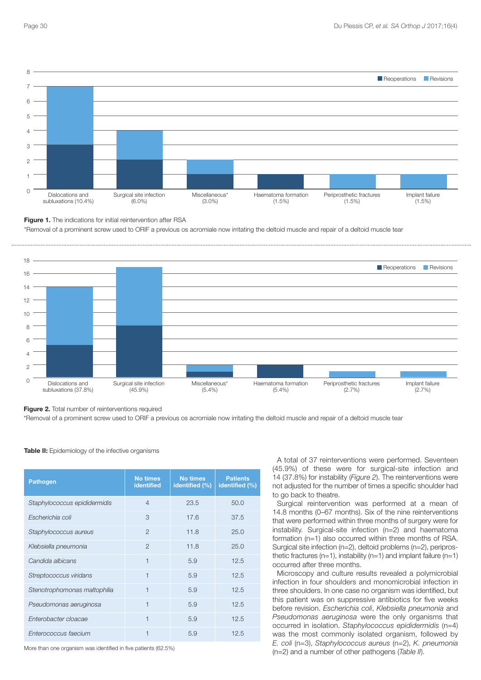

**Figure 1.** The indications for initial reintervention after RSA

\*Removal of a prominent screw used to ORIF a previous os acromiale now irritating the deltoid muscle and repair of a deltoid muscle tear



**Figure 2.** Total number of reinterventions required

\*Removal of a prominent screw used to ORIF a previous os acromiale now irritating the deltoid muscle and repair of a deltoid muscle tear

| <b>Pathogen</b>              | <b>No times</b><br><b>identified</b> | <b>No times</b><br>identified (%) | <b>Patients</b><br>identified (%) |
|------------------------------|--------------------------------------|-----------------------------------|-----------------------------------|
| Staphylococcus epididermidis | $\overline{4}$                       | 23.5                              | 50.0                              |
| Escherichia coli             | 3                                    | 17.6                              | 37.5                              |
| Staphylococcus aureus        | $\overline{2}$                       | 11.8                              | 25.0                              |
| Klebsiella pneumonia         | $\mathcal{P}$                        | 11.8                              | 25.0                              |
| Candida albicans             | $\overline{1}$                       | 5.9                               | 12.5                              |
| Streptococcus viridans       | 1                                    | 5.9                               | 12.5                              |
| Stenotrophomonas maltophilia | 1                                    | 5.9                               | 12.5                              |
| Pseudomonas aeruginosa       | $\overline{1}$                       | 5.9                               | 12.5                              |
| Enterobacter cloacae         | $\overline{1}$                       | 5.9                               | 12.5                              |
| Enterococcus faecium         |                                      | 5.9                               | 12.5                              |

**Table II:** Epidemiology of the infective organisms

More than one organism was identified in five patients (62.5%)

A total of 37 reinterventions were performed. Seventeen (45.9%) of these were for surgical-site infection and 14 (37.8%) for instability (*Figure 2*). The reinterventions were not adjusted for the number of times a specific shoulder had to go back to theatre.

Surgical reintervention was performed at a mean of 14.8 months (0–67 months). Six of the nine reinterventions that were performed within three months of surgery were for instability. Surgical-site infection (n=2) and haematoma formation (n=1) also occurred within three months of RSA. Surgical site infection (n=2), deltoid problems (n=2), periprosthetic fractures ( $n=1$ ), instability ( $n=1$ ) and implant failure ( $n=1$ ) occurred after three months.

Microscopy and culture results revealed a polymicrobial infection in four shoulders and monomicrobial infection in three shoulders. In one case no organism was identified, but this patient was on suppressive antibiotics for five weeks before revision. *Escherichia coli*, *Klebsiella pneumonia* and *Pseudomonas aeruginosa* were the only organisms that occurred in isolation. *Staphylococcus epididermidis* (n=4) was the most commonly isolated organism, followed by *E. coli* (n=3), *Staphylococcus aureus* (n=2), *K. pneumonia* (n=2) and a number of other pathogens (*Table II*).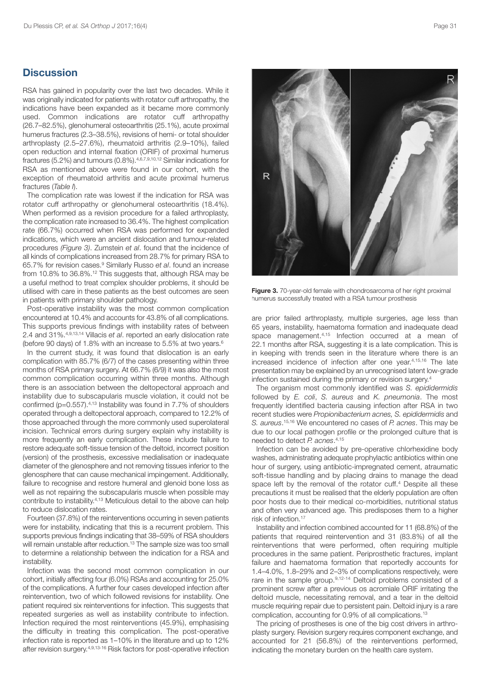### **Discussion**

RSA has gained in popularity over the last two decades. While it was originally indicated for patients with rotator cuff arthropathy, the indications have been expanded as it became more commonly used. Common indications are rotator cuff arthropathy (26.7–82.5%), glenohumeral osteoarthritis (25.1%), acute proximal humerus fractures (2.3–38.5%), revisions of hemi- or total shoulder arthroplasty (2.5–27.6%), rheumatoid arthritis (2.9–10%), failed open reduction and internal fixation (ORIF) of proximal humerus fractures (5.2%) and tumours (0.8%).<sup>4,6,7,9,10,12</sup> Similar indications for RSA as mentioned above were found in our cohort, with the exception of rheumatoid arthritis and acute proximal humerus fractures (*Table I*).

The complication rate was lowest if the indication for RSA was rotator cuff arthropathy or glenohumeral osteoarthritis (18.4%). When performed as a revision procedure for a failed arthroplasty, the complication rate increased to 36.4%. The highest complication rate (66.7%) occurred when RSA was performed for expanded indications, which were an ancient dislocation and tumour-related procedures *(Figure 3)*. Zumstein *et al*. found that the incidence of all kinds of complications increased from 28.7% for primary RSA to 65.7% for revision cases. <sup>9</sup> Similarly Russo *et al*. found an increase from 10.8% to 36.8%.<sup>12</sup> This suggests that, although RSA may be a useful method to treat complex shoulder problems, it should be utilised with care in these patients as the best outcomes are seen in patients with primary shoulder pathology.

Post-operative instability was the most common complication encountered at 10.4% and accounts for 43.8% of all complications. This supports previous findings with instability rates of between 2.4 and 31%. 4,9,13,14 Villacis *et al*. reported an early dislocation rate (before 90 days) of 1.8% with an increase to 5.5% at two years. 6

In the current study, it was found that dislocation is an early complication with 85.7% (6/7) of the cases presenting within three months of RSA primary surgery. At 66.7% (6/9) it was also the most common complication occurring within three months. Although there is an association between the deltopectoral approach and instability due to subscapularis muscle violation, it could not be confirmed (p=0.557). 4,13 Instability was found in 7.7% of shoulders operated through a deltopectoral approach, compared to 12.2% of those approached through the more commonly used superolateral incision. Technical errors during surgery explain why instability is more frequently an early complication. These include failure to restore adequate soft-tissue tension of the deltoid, incorrect position (version) of the prosthesis, excessive medialisation or inadequate diameter of the glenosphere and not removing tissues inferior to the glenosphere that can cause mechanical impingement. Additionally, failure to recognise and restore humeral and glenoid bone loss as well as not repairing the subscapularis muscle when possible may contribute to instability. 4,13 Meticulous detail to the above can help to reduce dislocation rates.

Fourteen (37.8%) of the reinterventions occurring in seven patients were for instability, indicating that this is a recurrent problem. This supports previous findings indicating that 38–59% of RSA shoulders will remain unstable after reduction.<sup>13</sup> The sample size was too small to determine a relationship between the indication for a RSA and instability.

Infection was the second most common complication in our cohort, initially affecting four (6.0%) RSAs and accounting for 25.0% of the complications. A further four cases developed infection after reintervention, two of which followed revisions for instability. One patient required six reinterventions for infection. This suggests that repeated surgeries as well as instability contribute to infection. Infection required the most reinterventions (45.9%), emphasising the difficulty in treating this complication. The post-operative infection rate is reported as 1–10% in the literature and up to 12% after revision surgery.<sup>4,9,13-16</sup> Risk factors for post-operative infection

 $\overline{R}$ 

**Figure 3.** 70-year-old female with chondrosarcoma of her right proximal humerus successfully treated with a RSA tumour prosthesis

are prior failed arthroplasty, multiple surgeries, age less than 65 years, instability, haematoma formation and inadequate dead space management. 4,15 Infection occurred at a mean of 22.1 months after RSA, suggesting it is a late complication. This is in keeping with trends seen in the literature where there is an increased incidence of infection after one year. 4,15,16 The late presentation may be explained by an unrecognised latent low-grade infection sustained during the primary or revision surgery. 4

The organism most commonly identified was *S. epididermidis* followed by *E. coli*, *S. aureus* and *K. pneumonia*. The most frequently identified bacteria causing infection after RSA in two recent studies were *Propionibacterium acnes, S. epididermidis* and *S. aureus*. 15,16 We encountered no cases of *P. acnes*. This may be due to our local pathogen profile or the prolonged culture that is needed to detect *P. acnes*. 4,15

Infection can be avoided by pre-operative chlorhexidine body washes, administrating adequate prophylactic antibiotics within one hour of surgery, using antibiotic-impregnated cement, atraumatic soft-tissue handling and by placing drains to manage the dead space left by the removal of the rotator cuff. <sup>4</sup> Despite all these precautions it must be realised that the elderly population are often poor hosts due to their medical co-morbidities, nutritional status and often very advanced age. This predisposes them to a higher risk of infection. 17

Instability and infection combined accounted for 11 (68.8%) of the patients that required reintervention and 31 (83.8%) of all the reinterventions that were performed, often requiring multiple procedures in the same patient. Periprosthetic fractures, implant failure and haematoma formation that reportedly accounts for 1.4–4.0%, 1.8–29% and 2–3% of complications respectively, were rare in the sample group.<sup>9,12-14</sup> Deltoid problems consisted of a prominent screw after a previous os acromiale ORIF irritating the deltoid muscle, necessitating removal, and a tear in the deltoid muscle requiring repair due to persistent pain. Deltoid injury is a rare complication, accounting for 0.9% of all complications. 13

The pricing of prostheses is one of the big cost drivers in arthroplasty surgery. Revision surgery requires component exchange, and accounted for 21 (56.8%) of the reinterventions performed, indicating the monetary burden on the health care system.